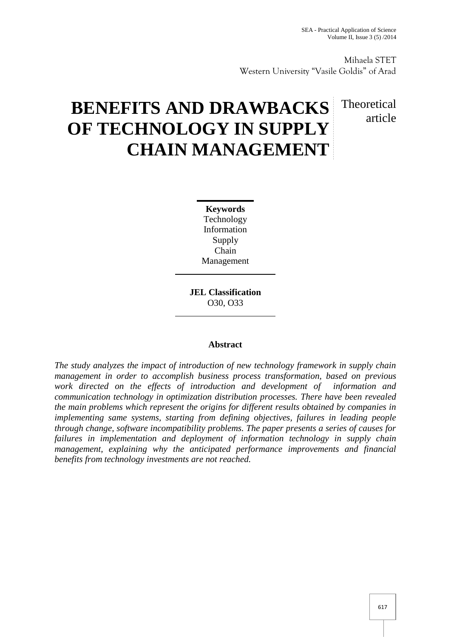Mihaela STET Western University "Vasile Goldis" of Arad

# **BENEFITS AND DRAWBACKS OF TECHNOLOGY IN SUPPLY CHAIN MANAGEMENT**

## Theoretical article

**Keywords** Technology Information Supply Chain Management

**JEL Classification** O30, O33

### **Abstract**

*The study analyzes the impact of introduction of new technology framework in supply chain management in order to accomplish business process transformation, based on previous work directed on the effects of introduction and development of information and communication technology in optimization distribution processes. There have been revealed the main problems which represent the origins for different results obtained by companies in implementing same systems, starting from defining objectives, failures in leading people through change, software incompatibility problems. The paper presents a series of causes for failures in implementation and deployment of information technology in supply chain management, explaining why the anticipated performance improvements and financial benefits from technology investments are not reached.*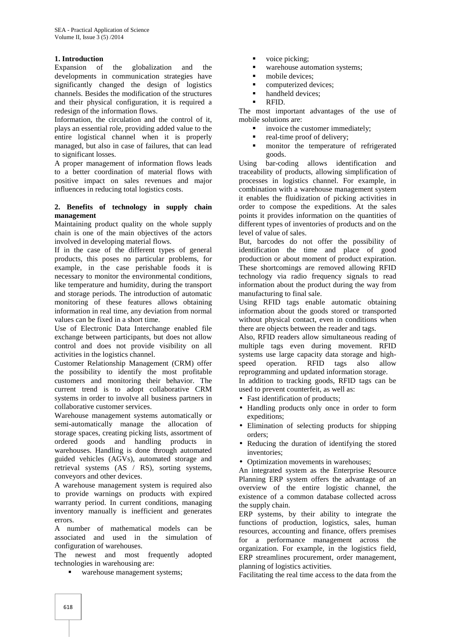#### **1. Introduction**

Expansion of the globalization and the developments in communication strategies have significantly changed the design of logistics channels. Besides the modification of the structures and their physical configuration, it is required a redesign of the information flows.

Information, the circulation and the control of it, plays an essential role, providing added value to the entire logistical channel when it is properly managed, but also in case of failures, that can lead to significant losses.

A proper management of information flows leads to a better coordination of material flows with positive impact on sales revenues and major influences in reducing total logistics costs.

#### **2. Benefits of technology in supply chain management**

Maintaining product quality on the whole supply chain is one of the main objectives of the actors involved in developing material flows.

If in the case of the different types of general products, this poses no particular problems, for example, in the case perishable foods it is necessary to monitor the environmental conditions, like temperature and humidity, during the transport and storage periods. The introduction of automatic monitoring of these features allows obtaining information in real time, any deviation from normal values can be fixed in a short time.

Use of Electronic Data Interchange enabled file exchange between participants, but does not allow control and does not provide visibility on all activities in the logistics channel.

Customer Relationship Management (CRM) offer the possibility to identify the most profitable customers and monitoring their behavior. The current trend is to adopt collaborative CRM systems in order to involve all business partners in collaborative customer services.

Warehouse management systems automatically or semi-automatically manage the allocation of storage spaces, creating picking lists, assortment of ordered goods and handling products in warehouses. Handling is done through automated guided vehicles (AGVs), automated storage and retrieval systems (AS / RS), sorting systems, conveyors and other devices.

A warehouse management system is required also to provide warnings on products with expired warranty period. In current conditions, managing inventory manually is inefficient and generates errors.

A number of mathematical models can be associated and used in the simulation of configuration of warehouses.

The newest and most frequently adopted technologies in warehousing are:

warehouse management systems;

- voice picking;
- warehouse automation systems;
- mobile devices;
- **•** computerized devices;
- handheld devices:
- RFID.

The most important advantages of the use of mobile solutions are:

- invoice the customer immediately;
- real-time proof of delivery;<br>monitor the temperature
- monitor the temperature of refrigerated goods.

Using bar-coding allows identification and traceability of products, allowing simplification of processes in logistics channel. For example, in combination with a warehouse management system it enables the fluidization of picking activities in order to compose the expeditions. At the sales points it provides information on the quantities of different types of inventories of products and on the level of value of sales.

But, barcodes do not offer the possibility of identification the time and place of good production or about moment of product expiration. These shortcomings are removed allowing RFID technology via radio frequency signals to read information about the product during the way from manufacturing to final sale.

Using RFID tags enable automatic obtaining information about the goods stored or transported without physical contact, even in conditions when there are objects between the reader and tags.

Also, RFID readers allow simultaneous reading of multiple tags even during movement. RFID systems use large capacity data storage and high speed operation. RFID tags also allow reprogramming and updated information storage.

In addition to tracking goods, RFID tags can be used to prevent counterfeit, as well as:

- Fast identification of products;
- Handling products only once in order to form expeditions;
- Elimination of selecting products for shipping orders;
- Reducing the duration of identifying the stored inventories;
- Optimization movements in warehouses:

An integrated system as the Enterprise Resource Planning ERP system offers the advantage of an overview of the entire logistic channel, the existence of a common database collected across the supply chain.

ERP systems, by their ability to integrate the functions of production, logistics, sales, human resources, accounting and finance, offers premises for a performance management across the organization. For example, in the logistics field, ERP streamlines procurement, order management, planning of logistics activities.

Facilitating the real time access to the data from the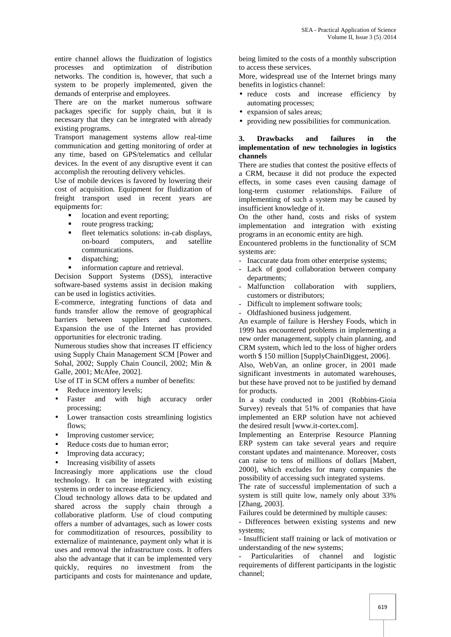entire channel allows the fluidization of logistics processes and optimization of distribution networks. The condition is, however, that such a system to be properly implemented, given the demands of enterprise and employees.

There are on the market numerous software packages specific for supply chain, but it is necessary that they can be integrated with already existing programs.

Transport management systems allow real-time communication and getting monitoring of order at any time, based on GPS/telematics and cellular devices. In the event of any disruptive event it can accomplish the rerouting delivery vehicles.

Use of mobile devices is favored by lowering their cost of acquisition. Equipment for fluidization of freight transport used in recent years are equipments for:

- **IDED** location and event reporting;
- route progress tracking;
- fleet telematics solutions: in-cab displays, on-board computers, and satellite communications.
- dispatching;
- **information capture and retrieval.**

Decision Support Systems (DSS), interactive software-based systems assist in decision making can be used in logistics activities.

E-commerce, integrating functions of data and funds transfer allow the remove of geographical barriers between suppliers and customers. Expansion the use of the Internet has provided opportunities for electronic trading.

Numerous studies show that increases IT efficiency using Supply Chain Management SCM [Power and Sohal, 2002; Supply Chain Council, 2002; Min & Galle, 2001; McAfee, 2002].

Use of IT in SCM offers a number of benefits:

- Reduce inventory levels;
- Faster and with high accuracy order processing;
- Lower transaction costs streamlining logistics flows;
- Improving customer service;
- Reduce costs due to human error;
- Improving data accuracy;
- Increasing visibility of assets

Increasingly more applications use the cloud technology. It can be integrated with existing systems in order to increase efficiency.

Cloud technology allows data to be updated and shared across the supply chain through a collaborative platform. Use of cloud computing offers a number of advantages, such as lower costs for commoditization of resources, possibility to externalize of maintenance, payment only what it is uses and removal the infrastructure costs. It offers also the advantage that it can be implemented very quickly, requires no investment from the participants and costs for maintenance and update, being limited to the costs of a monthly subscription to access these services.

More, widespread use of the Internet brings many benefits in logistics channel:

- reduce costs and increase efficiency by automating processes;
- expansion of sales areas;
- providing new possibilities for communication.

#### **3. Drawbacks and failures in the implementation of new technologies in logistics channels**

There are studies that contest the positive effects of a CRM, because it did not produce the expected effects, in some cases even causing damage of long-term customer relationships. Failure of implementing of such a system may be caused by insufficient knowledge of it.

On the other hand, costs and risks of system implementation and integration with existing programs in an economic entity are high.

Encountered problems in the functionality of SCM systems are:

- Inaccurate data from other enterprise systems;
- Lack of good collaboration between company departments;
- Malfunction collaboration with suppliers, customers or distributors;
- Difficult to implement software tools:
- Oldfashioned business judgement.

An example of failure is Hershey Foods, which in 1999 has encountered problems in implementing a new order management, supply chain planning, and CRM system, which led to the loss of higher orders worth \$ 150 million [SupplyChainDiggest, 2006].

Also, WebVan, an online grocer, in 2001 made significant investments in automated warehouses, but these have proved not to be justified by demand for products.

In a study conducted in 2001 (Robbins-Gioia Survey) reveals that 51% of companies that have implemented an ERP solution have not achieved the desired result [www.it-cortex.com].

Implementing an Enterprise Resource Planning ERP system can take several years and require constant updates and maintenance. Moreover, costs can raise to tens of millions of dollars [Mabert, 2000], which excludes for many companies the possibility of accessing such integrated systems.

The rate of successful implementation of such a system is still quite low, namely only about 33% [Zhang, 2003].

Failures could be determined by multiple causes:

- Differences between existing systems and new systems;

- Insufficient staff training or lack of motivation or understanding of the new systems;

Particularities of channel and logistic requirements of different participants in the logistic channel;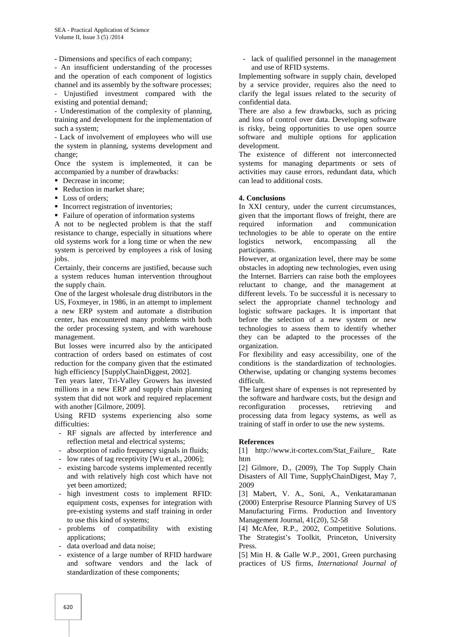- Dimensions and specifics of each company;

- An insufficient understanding of the processes and the operation of each component of logistics channel and its assembly by the software processes;

Unjustified investment compared with the existing and potential demand;

- Underestimation of the complexity of planning, training and development for the implementation of such a system;

- Lack of involvement of employees who will use the system in planning, systems development and change;

Once the system is implemented, it can be accompanied by a number of drawbacks:

- Decrease in income:
- Reduction in market share:
- $\blacksquare$  Loss of orders:
- **Incorrect registration of inventories;**
- Failure of operation of information systems

A not to be neglected problem is that the staff resistance to change, especially in situations where old systems work for a long time or when the new system is perceived by employees a risk of losing jobs.

Certainly, their concerns are justified, because such a system reduces human intervention throughout the supply chain.

One of the largest wholesale drug distributors in the US, Foxmeyer, in 1986, in an attempt to implement a new ERP system and automate a distribution center, has encountered many problems with both the order processing system, and with warehouse management.

But losses were incurred also by the anticipated contraction of orders based on estimates of cost reduction for the company given that the estimated high efficiency [SupplyChainDiggest, 2002].

Ten years later, Tri-Valley Growers has invested millions in a new ERP and supply chain planning system that did not work and required replacement with another [Gilmore, 2009].

Using RFID systems experiencing also some difficulties:

- RF signals are affected by interference and reflection metal and electrical systems;
- absorption of radio frequency signals in fluids;
- low rates of tag receptivity [Wu et al., 2006];
- existing barcode systems implemented recently and with relatively high cost which have not yet been amortized;
- high investment costs to implement RFID: equipment costs, expenses for integration with pre-existing systems and staff training in order to use this kind of systems;
- problems of compatibility with existing applications;
- data overload and data noise:
- existence of a large number of RFID hardware and software vendors and the lack of standardization of these components;

lack of qualified personnel in the management and use of RFID systems.

Implementing software in supply chain, developed by a service provider, requires also the need to clarify the legal issues related to the security of confidential data.

There are also a few drawbacks, such as pricing and loss of control over data. Developing software is risky, being opportunities to use open source software and multiple options for application development.

The existence of different not interconnected systems for managing departments or sets of activities may cause errors, redundant data, which can lead to additional costs.

#### **4. Conclusions**

In XXI century, under the current circumstances, given that the important flows of freight, there are required information and communication technologies to be able to operate on the entire network, encompassing all the participants.

However, at organization level, there may be some obstacles in adopting new technologies, even using the Internet. Barriers can raise both the employees reluctant to change, and the management at different levels. To be successful it is necessary to select the appropriate channel technology and logistic software packages. It is important that before the selection of a new system or new technologies to assess them to identify whether they can be adapted to the processes of the organization.

For flexibility and easy accessibility, one of the conditions is the standardization of technologies. Otherwise, updating or changing systems becomes difficult.

The largest share of expenses is not represented by the software and hardware costs, but the design and reconfiguration processes, retrieving and processing data from legacy systems, as well as training of staff in order to use the new systems.

#### **References**

[1] http://www.it-cortex.com/Stat\_Failure\_ Rate htm

[2] Gilmore, D., (2009), The Top Supply Chain Disasters of All Time, SupplyChainDigest, May 7, 2009

[3] Mabert, V. A., Soni, A., Venkataramanan (2000) Enterprise Resource Planning Survey of US Manufacturing Firms. Production and Inventory Management Journal, 41(20), 52-58

[4] McAfee, R.P., 2002, Competitive Solutions. The Strategist's Toolkit, Princeton, University Press.

[5] Min H. & Galle W.P., 2001, Green purchasing practices of US firms, *International Journal of*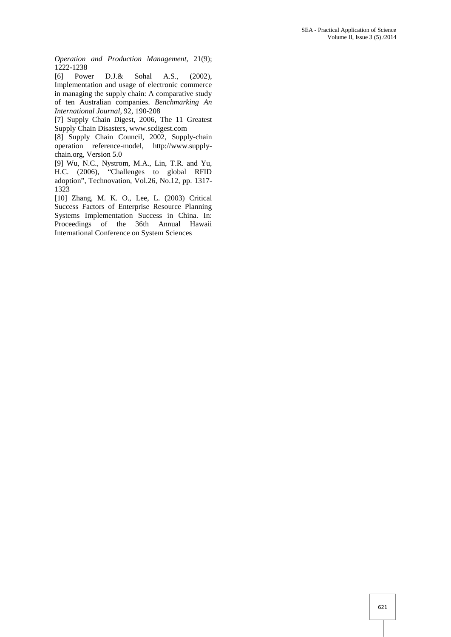*Operation and Production Management,* 21(9); 1222-1238

[6] Power D.J.& Sohal A.S., (2002), Implementation and usage of electronic commerce in managing the supply chain: A comparative study of ten Australian companies. *Benchmarking An International Journal,* 92, 190-208

[7] Supply Chain Digest, 2006, The 11 Greatest Supply Chain Disasters, www.scdigest.com

[8] Supply Chain Council, 2002, Supply-chain operation reference-model, http://www.supply chain.org, Version 5.0

[9] Wu, N.C., Nystrom, M.A., Lin, T.R. and Yu, H.C. (2006), "Challenges to global RFID adoption", Technovation, Vol.26, No.12, pp. 1317- 1323

[10] Zhang, M. K. O., Lee, L. (2003) Critical Success Factors of Enterprise Resource Planning Systems Implementation Success in China. In: Proceedings of the 36th Annual Hawaii International Conference on System Sciences